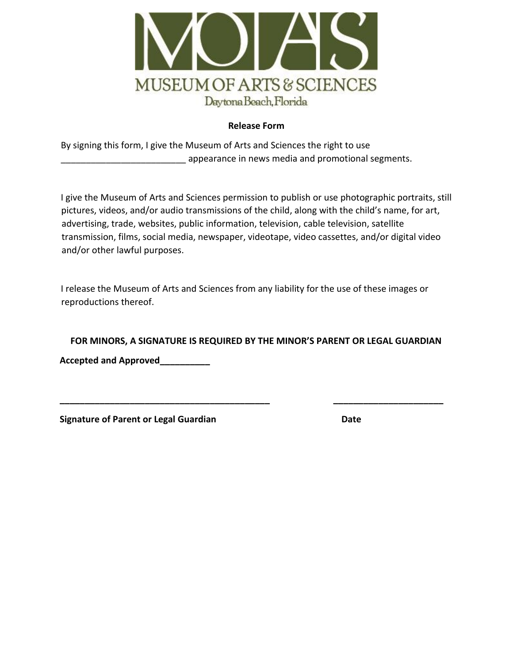

## **Release Form**

By signing this form, I give the Museum of Arts and Sciences the right to use appearance in news media and promotional segments.

I give the Museum of Arts and Sciences permission to publish or use photographic portraits, still pictures, videos, and/or audio transmissions of the child, along with the child's name, for art, advertising, trade, websites, public information, television, cable television, satellite transmission, films, social media, newspaper, videotape, video cassettes, and/or digital video and/or other lawful purposes.

I release the Museum of Arts and Sciences from any liability for the use of these images or reproductions thereof.

**FOR MINORS, A SIGNATURE IS REQUIRED BY THE MINOR'S PARENT OR LEGAL GUARDIAN** 

**\_\_\_\_\_\_\_\_\_\_\_\_\_\_\_\_\_\_\_\_\_\_\_\_\_\_\_\_\_\_\_\_\_\_\_\_\_\_\_\_\_\_ \_\_\_\_\_\_\_\_\_\_\_\_\_\_\_\_\_\_\_\_\_\_**

**Accepted and Approved\_\_\_\_\_\_\_\_\_\_** 

**Signature of Parent or Legal Guardian Community Community Community Community Community Community Community Community Community Community Community Community Community Community Community Community Community Community Com**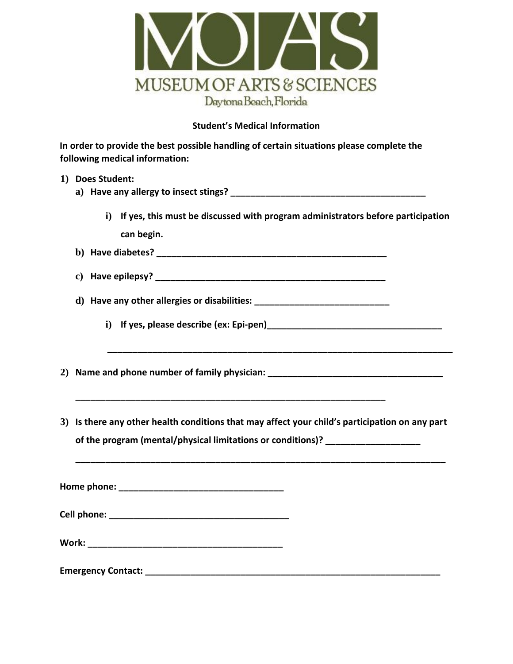

## **Student's Medical Information**

**In order to provide the best possible handling of certain situations please complete the following medical information:** 

|  | 1) Does Student:                                                                                 |  |  |  |  |
|--|--------------------------------------------------------------------------------------------------|--|--|--|--|
|  | i) If yes, this must be discussed with program administrators before participation<br>can begin. |  |  |  |  |
|  |                                                                                                  |  |  |  |  |
|  |                                                                                                  |  |  |  |  |
|  |                                                                                                  |  |  |  |  |
|  | 2) Name and phone number of family physician: __________________________________                 |  |  |  |  |
|  | 3) Is there any other health conditions that may affect your child's participation on any part   |  |  |  |  |
|  | of the program (mental/physical limitations or conditions)? ____________________                 |  |  |  |  |
|  |                                                                                                  |  |  |  |  |
|  |                                                                                                  |  |  |  |  |
|  |                                                                                                  |  |  |  |  |
|  |                                                                                                  |  |  |  |  |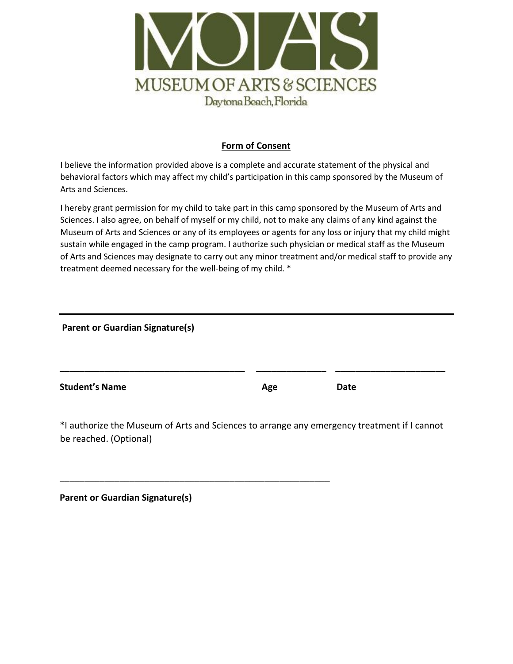

## **Form of Consent**

I believe the information provided above is a complete and accurate statement of the physical and behavioral factors which may affect my child's participation in this camp sponsored by the Museum of Arts and Sciences.

I hereby grant permission for my child to take part in this camp sponsored by the Museum of Arts and Sciences. I also agree, on behalf of myself or my child, not to make any claims of any kind against the Museum of Arts and Sciences or any of its employees or agents for any loss or injury that my child might sustain while engaged in the camp program. I authorize such physician or medical staff as the Museum of Arts and Sciences may designate to carry out any minor treatment and/or medical staff to provide any treatment deemed necessary for the well-being of my child. \*

**Parent or Guardian Signature(s)** 

**Student's Name Age Date Date** *Age* **Date** 

\*I authorize the Museum of Arts and Sciences to arrange any emergency treatment if I cannot be reached. (Optional)

\_\_\_\_\_\_\_\_\_\_\_\_\_\_\_\_\_\_\_\_\_\_\_\_\_\_\_\_\_\_\_\_\_\_\_\_\_\_\_\_\_\_\_\_\_\_\_\_\_\_\_\_\_\_

**\_\_\_\_\_\_\_\_\_\_\_\_\_\_\_\_\_\_\_\_\_\_\_\_\_\_\_\_\_\_\_\_\_\_\_\_\_ \_\_\_\_\_\_\_\_\_\_\_\_\_\_ \_\_\_\_\_\_\_\_\_\_\_\_\_\_\_\_\_\_\_\_\_\_** 

|  |  | <b>Parent or Guardian Signature(s)</b> |
|--|--|----------------------------------------|
|--|--|----------------------------------------|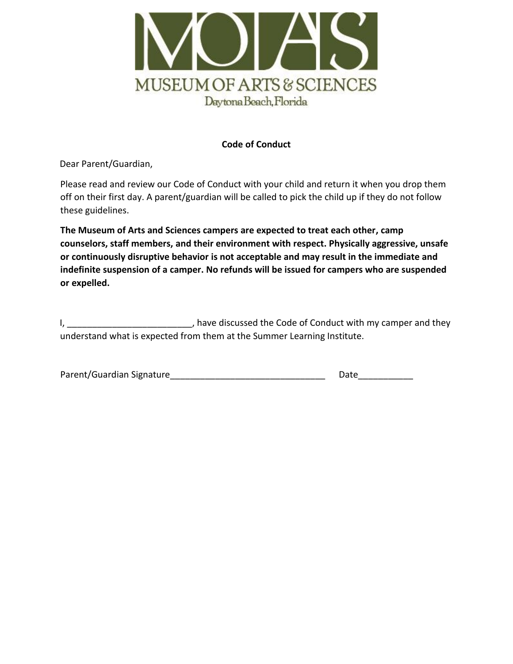

## **Code of Conduct**

Dear Parent/Guardian,

Please read and review our Code of Conduct with your child and return it when you drop them off on their first day. A parent/guardian will be called to pick the child up if they do not follow these guidelines.

**The Museum of Arts and Sciences campers are expected to treat each other, camp counselors, staff members, and their environment with respect. Physically aggressive, unsafe or continuously disruptive behavior is not acceptable and may result in the immediate and indefinite suspension of a camper. No refunds will be issued for campers who are suspended or expelled.**

I, thave discussed the Code of Conduct with my camper and they understand what is expected from them at the Summer Learning Institute.

| Parent/Guardian Signature | Date |
|---------------------------|------|
|---------------------------|------|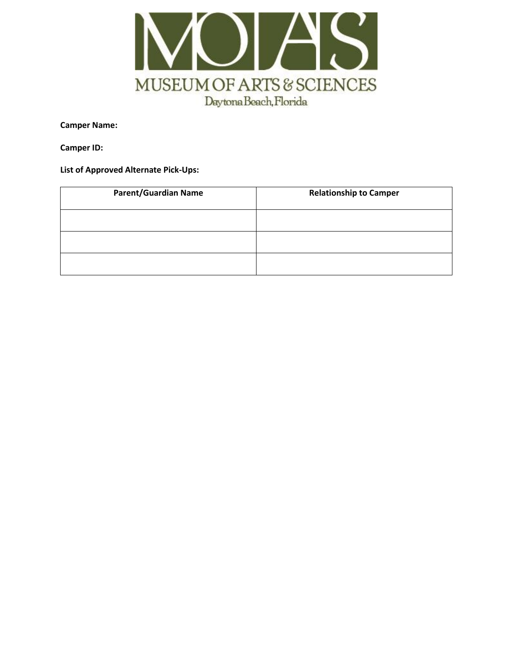

**Camper Name:**

**Camper ID:**

**List of Approved Alternate Pick-Ups:**

| <b>Parent/Guardian Name</b> | <b>Relationship to Camper</b> |
|-----------------------------|-------------------------------|
|                             |                               |
|                             |                               |
|                             |                               |